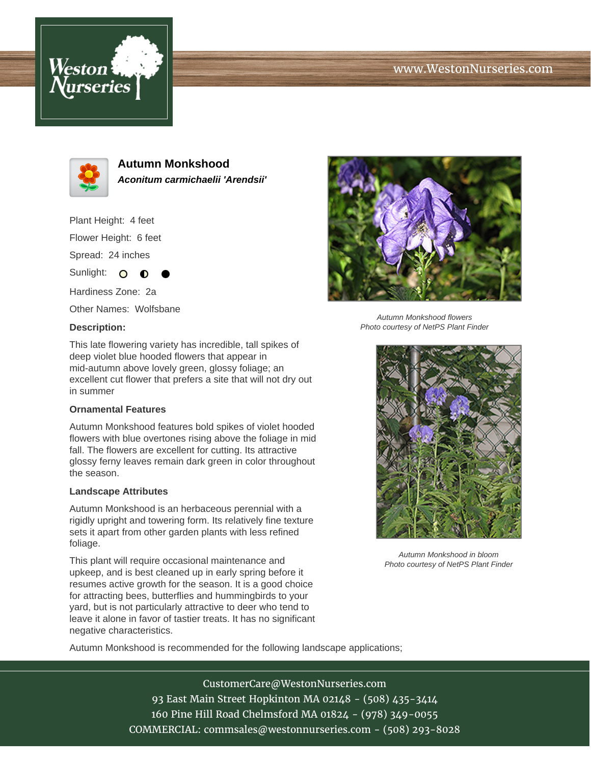# www.WestonNurseries.com





**Autumn Monkshood Aconitum carmichaelii 'Arendsii'**

Plant Height: 4 feet Flower Height: 6 feet Spread: 24 inches

Hardiness Zone: 2a Other Names: Wolfsbane

 $\Omega$ 

∩

#### **Description:**

Sunlight:



Autumn Monkshood flowers Photo courtesy of NetPS Plant Finder

This late flowering variety has incredible, tall spikes of deep violet blue hooded flowers that appear in mid-autumn above lovely green, glossy foliage; an excellent cut flower that prefers a site that will not dry out in summer

### **Ornamental Features**

Autumn Monkshood features bold spikes of violet hooded flowers with blue overtones rising above the foliage in mid fall. The flowers are excellent for cutting. Its attractive glossy ferny leaves remain dark green in color throughout the season.

### **Landscape Attributes**

Autumn Monkshood is an herbaceous perennial with a rigidly upright and towering form. Its relatively fine texture sets it apart from other garden plants with less refined foliage.

This plant will require occasional maintenance and upkeep, and is best cleaned up in early spring before it resumes active growth for the season. It is a good choice for attracting bees, butterflies and hummingbirds to your yard, but is not particularly attractive to deer who tend to leave it alone in favor of tastier treats. It has no significant negative characteristics.



Autumn Monkshood in bloom Photo courtesy of NetPS Plant Finder

Autumn Monkshood is recommended for the following landscape applications;

CustomerCare@WestonNurseries.com 93 East Main Street Hopkinton MA 02148 - (508) 435-3414 160 Pine Hill Road Chelmsford MA 01824 - (978) 349-0055 COMMERCIAL: commsales@westonnurseries.com - (508) 293-8028